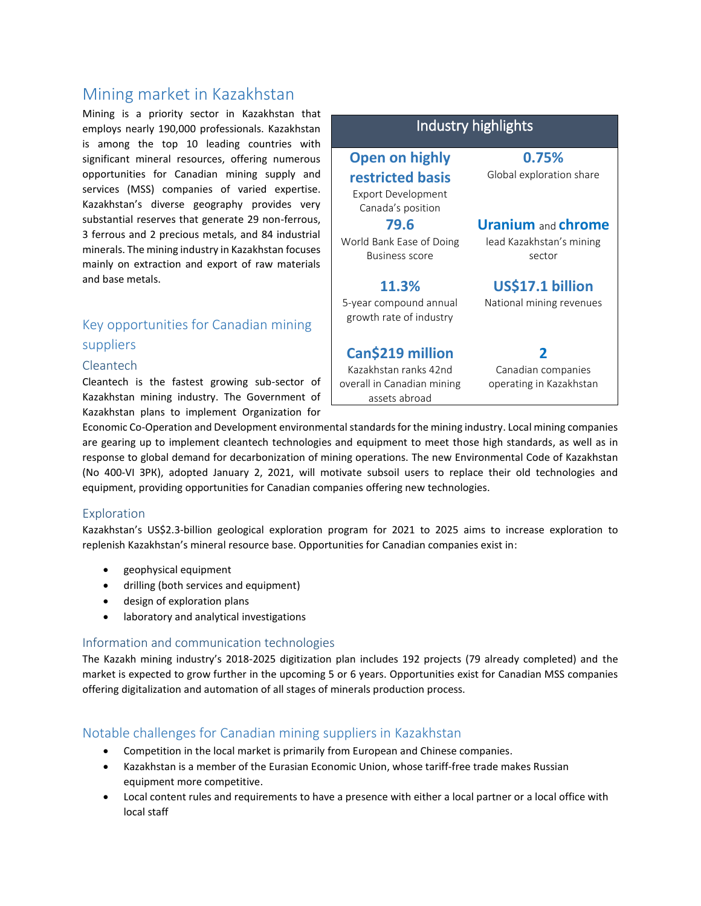# Mining market in Kazakhstan

Mining is a priority sector in Kazakhstan that employs nearly 190,000 professionals. Kazakhstan is among the top 10 leading countries with significant mineral resources, offering numerous opportunities for Canadian mining supply and services (MSS) companies of varied expertise. Kazakhstan's diverse geography provides very substantial reserves that generate 29 non-ferrous, 3 ferrous and 2 precious metals, and 84 industrial minerals. The mining industry in Kazakhstan focuses mainly on extraction and export of raw materials and base metals.

## Key opportunities for Canadian mining suppliers

#### Cleantech

Cleantech is the fastest growing sub-sector of Kazakhstan mining industry. The Government of Kazakhstan plans to implement Organization for



Economic Co-Operation and Development environmental standards for the mining industry. Local mining companies are gearing up to implement cleantech technologies and equipment to meet those high standards, as well as in response to global demand for decarbonization of mining operations. The new Environmental Code of Kazakhstan (No 400-VI ЗРК), adopted January 2, 2021, will motivate subsoil users to replace their old technologies and equipment, providing opportunities for Canadian companies offering new technologies.

#### Exploration

Kazakhstan's US\$2.3-billion geological exploration program for 2021 to 2025 aims to increase exploration to replenish Kazakhstan's mineral resource base. Opportunities for Canadian companies exist in:

- geophysical equipment
- drilling (both services and equipment)
- design of exploration plans
- laboratory and analytical investigations

#### Information and communication technologies

The Kazakh mining industry's 2018-2025 digitization plan includes 192 projects (79 already completed) and the market is expected to grow further in the upcoming 5 or 6 years. Opportunities exist for Canadian MSS companies offering digitalization and automation of all stages of minerals production process.

### Notable challenges for Canadian mining suppliers in Kazakhstan

- Competition in the local market is primarily from European and Chinese companies.
- Kazakhstan is a member of the Eurasian Economic Union, whose tariff-free trade makes Russian equipment more competitive.
- Local content rules and requirements to have a presence with either a local partner or a local office with local staff